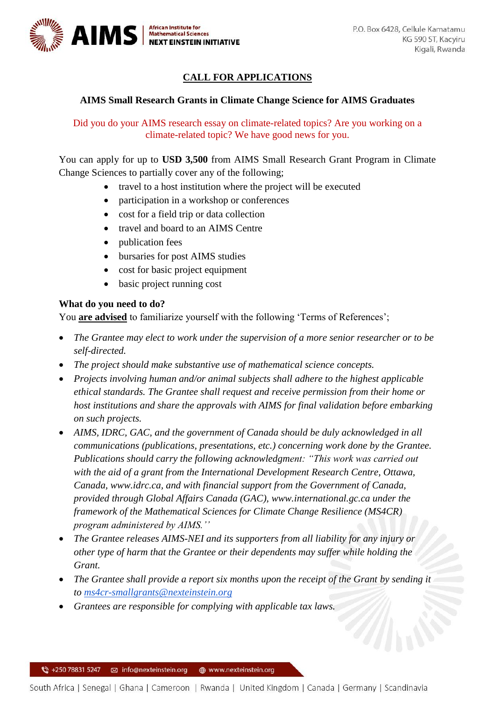

## **CALL FOR APPLICATIONS**

## **AIMS Small Research Grants in Climate Change Science for AIMS Graduates**

Did you do your AIMS research essay on climate-related topics? Are you working on a climate-related topic? We have good news for you.

You can apply for up to **USD 3,500** from AIMS Small Research Grant Program in Climate Change Sciences to partially cover any of the following;

- travel to a host institution where the project will be executed
- participation in a workshop or conferences
- cost for a field trip or data collection
- travel and board to an AIMS Centre
- publication fees
- bursaries for post AIMS studies
- cost for basic project equipment
- basic project running cost

## **What do you need to do?**

You **are advised** to familiarize yourself with the following 'Terms of References';

- *The Grantee may elect to work under the supervision of a more senior researcher or to be self-directed.*
- *The project should make substantive use of mathematical science concepts.*
- *Projects involving human and/or animal subjects shall adhere to the highest applicable ethical standards. The Grantee shall request and receive permission from their home or host institutions and share the approvals with AIMS for final validation before embarking on such projects.*
- AIMS, IDRC, GAC, and the government of Canada should be duly acknowledged in all *communications (publications, presentations, etc.) concerning work done by the Grantee. Publications should carry the following acknowledgment: "This work was carried out with the aid of a grant from the International Development Research Centre, Ottawa, Canada, www.idrc.ca, and with financial support from the Government of Canada, provided through Global Affairs Canada (GAC), www.international.gc.ca under the framework of the Mathematical Sciences for Climate Change Resilience (MS4CR) program administered by AIMS.''*
- *The Grantee releases AIMS-NEI and its supporters from all liability for any injury or other type of harm that the Grantee or their dependents may suffer while holding the Grant.*
- The Grantee shall provide a report six months upon the receipt of the Grant by sending it *to [ms4cr-smallgrants@nexteinstein.org](mailto:ms4cr-smallgrants@nexteinstein.org)*
- *Grantees are responsible for complying with applicable tax laws.*